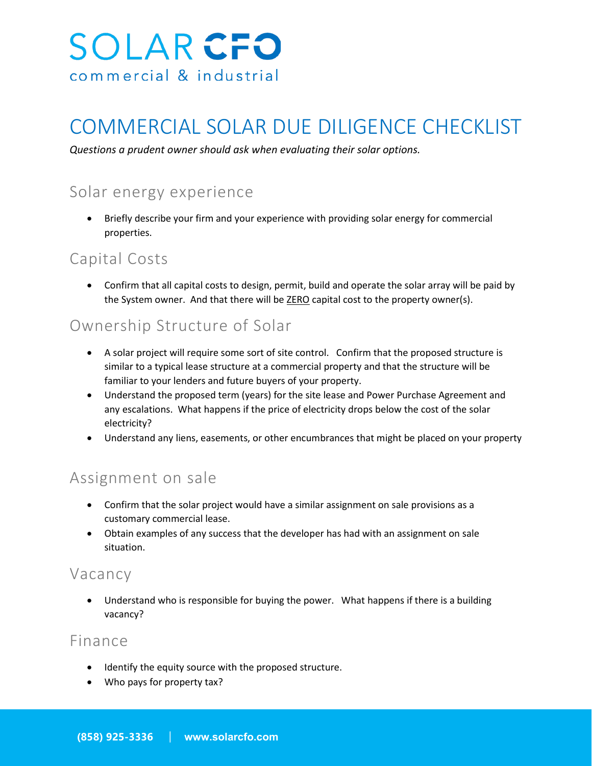

# COMMERCIAL SOLAR DUE DILIGENCE CHECKLIST

*Questions a prudent owner should ask when evaluating their solar options.*

# Solar energy experience

• Briefly describe your firm and your experience with providing solar energy for commercial properties.

#### Capital Costs

• Confirm that all capital costs to design, permit, build and operate the solar array will be paid by the System owner. And that there will be **ZERO** capital cost to the property owner(s).

#### Ownership Structure of Solar

- A solar project will require some sort of site control. Confirm that the proposed structure is similar to a typical lease structure at a commercial property and that the structure will be familiar to your lenders and future buyers of your property.
- Understand the proposed term (years) for the site lease and Power Purchase Agreement and any escalations. What happens if the price of electricity drops below the cost of the solar electricity?
- Understand any liens, easements, or other encumbrances that might be placed on your property

# Assignment on sale

- Confirm that the solar project would have a similar assignment on sale provisions as a customary commercial lease.
- Obtain examples of any success that the developer has had with an assignment on sale situation.

#### Vacancy

• Understand who is responsible for buying the power. What happens if there is a building vacancy?

#### Finance

- Identify the equity source with the proposed structure.
- Who pays for property tax?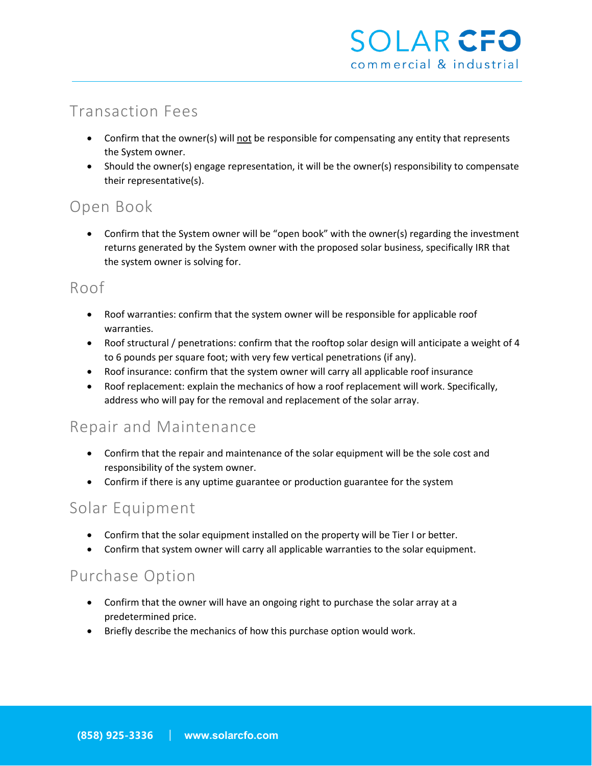# Transaction Fees

- Confirm that the owner(s) will not be responsible for compensating any entity that represents the System owner.
- Should the owner(s) engage representation, it will be the owner(s) responsibility to compensate their representative(s).

# Open Book

• Confirm that the System owner will be "open book" with the owner(s) regarding the investment returns generated by the System owner with the proposed solar business, specifically IRR that the system owner is solving for.

### Roof

- Roof warranties: confirm that the system owner will be responsible for applicable roof warranties.
- Roof structural / penetrations: confirm that the rooftop solar design will anticipate a weight of 4 to 6 pounds per square foot; with very few vertical penetrations (if any).
- Roof insurance: confirm that the system owner will carry all applicable roof insurance
- Roof replacement: explain the mechanics of how a roof replacement will work. Specifically, address who will pay for the removal and replacement of the solar array.

# Repair and Maintenance

- Confirm that the repair and maintenance of the solar equipment will be the sole cost and responsibility of the system owner.
- Confirm if there is any uptime guarantee or production guarantee for the system

### Solar Equipment

- Confirm that the solar equipment installed on the property will be Tier I or better.
- Confirm that system owner will carry all applicable warranties to the solar equipment.

### Purchase Option

- Confirm that the owner will have an ongoing right to purchase the solar array at a predetermined price.
- Briefly describe the mechanics of how this purchase option would work.